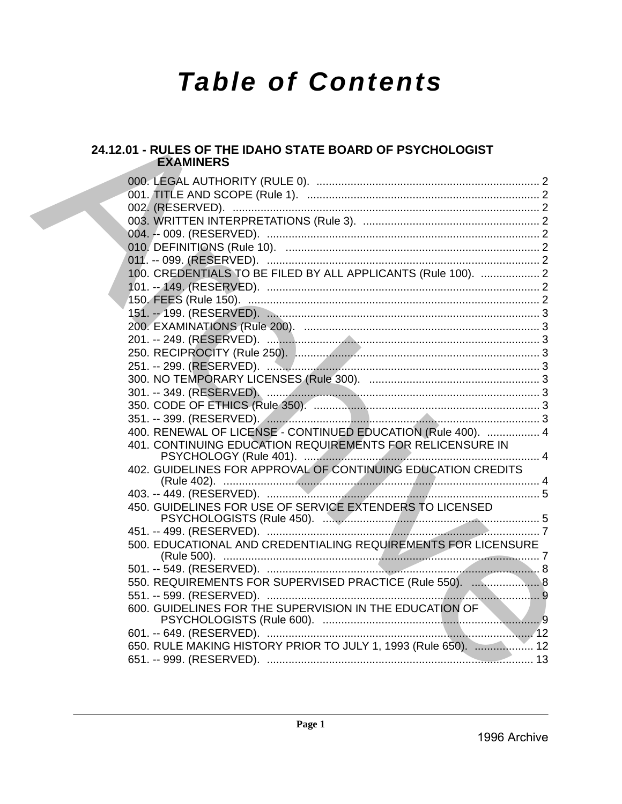# **Table of Contents**

### 24.12.01 - RULES OF THE IDAHO STATE BOARD OF PSYCHOLOGIST **EXAMINERS**

|  | 100. CREDENTIALS TO BE FILED BY ALL APPLICANTS (Rule 100).  2  |  |
|--|----------------------------------------------------------------|--|
|  |                                                                |  |
|  |                                                                |  |
|  |                                                                |  |
|  |                                                                |  |
|  |                                                                |  |
|  |                                                                |  |
|  |                                                                |  |
|  |                                                                |  |
|  |                                                                |  |
|  |                                                                |  |
|  | 400. RENEWAL OF LICENSE - CONTINUED EDUCATION (Rule 400).  4   |  |
|  | 401. CONTINUING EDUCATION REQUIREMENTS FOR RELICENSURE IN      |  |
|  |                                                                |  |
|  | 402. GUIDELINES FOR APPROVAL OF CONTINUING EDUCATION CREDITS   |  |
|  |                                                                |  |
|  |                                                                |  |
|  | 450. GUIDELINES FOR USE OF SERVICE EXTENDERS TO LICENSED       |  |
|  |                                                                |  |
|  | 500. EDUCATIONAL AND CREDENTIALING REQUIREMENTS FOR LICENSURE  |  |
|  |                                                                |  |
|  |                                                                |  |
|  | 550. REQUIREMENTS FOR SUPERVISED PRACTICE (Rule 550).  8       |  |
|  |                                                                |  |
|  | 600. GUIDELINES FOR THE SUPERVISION IN THE EDUCATION OF        |  |
|  |                                                                |  |
|  |                                                                |  |
|  | 650. RULE MAKING HISTORY PRIOR TO JULY 1, 1993 (Rule 650).  12 |  |
|  |                                                                |  |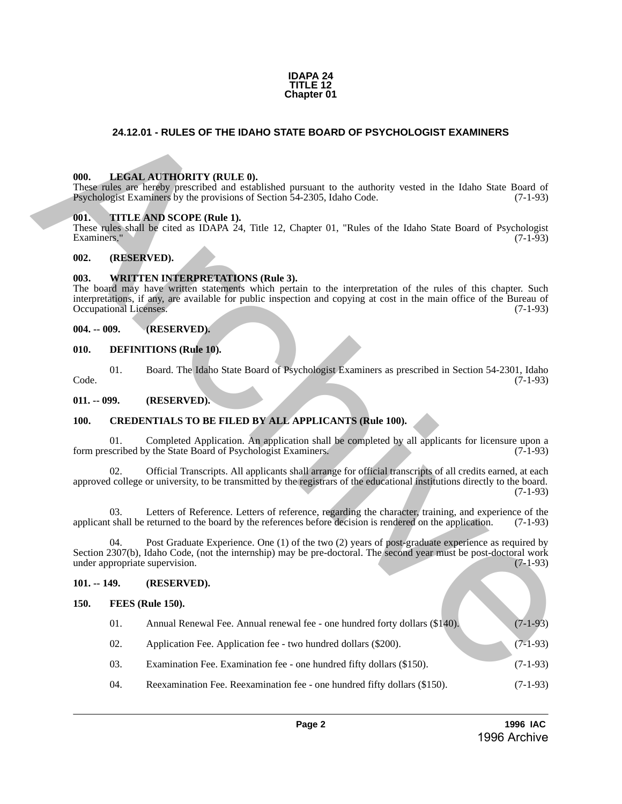#### **IDAPA 24 TITLE 12 Chapter 01**

#### <span id="page-1-0"></span>**24.12.01 - RULES OF THE IDAHO STATE BOARD OF PSYCHOLOGIST EXAMINERS**

#### <span id="page-1-1"></span>**000. LEGAL AUTHORITY (RULE 0).**

#### <span id="page-1-2"></span>**001. TITLE AND SCOPE (Rule 1).**

#### <span id="page-1-3"></span>**002. (RESERVED).**

#### <span id="page-1-4"></span>**003. WRITTEN INTERPRETATIONS (Rule 3).**

#### <span id="page-1-5"></span>**004. -- 009. (RESERVED).**

#### <span id="page-1-6"></span>**010. DEFINITIONS (Rule 10).**

#### <span id="page-1-8"></span><span id="page-1-7"></span>**100. CREDENTIALS TO BE FILED BY ALL APPLICANTS (Rule 100).**

#### <span id="page-1-10"></span><span id="page-1-9"></span>**101. -- 149. (RESERVED).**

| 24.12.01 - RULES OF THE IDAHO STATE BOARD OF PSYCHOLOGIST EXAMINERS                                                                                                                                                                                                                                                |                     |                                                                                                                                                                                                                         |                                                                                                                                                                                                                                                          |            |
|--------------------------------------------------------------------------------------------------------------------------------------------------------------------------------------------------------------------------------------------------------------------------------------------------------------------|---------------------|-------------------------------------------------------------------------------------------------------------------------------------------------------------------------------------------------------------------------|----------------------------------------------------------------------------------------------------------------------------------------------------------------------------------------------------------------------------------------------------------|------------|
|                                                                                                                                                                                                                                                                                                                    |                     |                                                                                                                                                                                                                         |                                                                                                                                                                                                                                                          |            |
|                                                                                                                                                                                                                                                                                                                    | 000.                | LEGAL AUTHORITY (RULE 0).<br>These rules are hereby prescribed and established pursuant to the authority vested in the Idaho State Board of<br>Psychologist Examiners by the provisions of Section 54-2305, Idaho Code. | $(7-1-93)$                                                                                                                                                                                                                                               |            |
|                                                                                                                                                                                                                                                                                                                    | 001.<br>Examiners." |                                                                                                                                                                                                                         | TITLE AND SCOPE (Rule 1).<br>These rules shall be cited as IDAPA 24, Title 12, Chapter 01, "Rules of the Idaho State Board of Psychologist                                                                                                               | $(7-1-93)$ |
|                                                                                                                                                                                                                                                                                                                    | 002.                | (RESERVED).                                                                                                                                                                                                             |                                                                                                                                                                                                                                                          |            |
| 003.<br><b>WRITTEN INTERPRETATIONS (Rule 3).</b><br>The board may have written statements which pertain to the interpretation of the rules of this chapter. Such<br>interpretations, if any, are available for public inspection and copying at cost in the main office of the Bureau of<br>Occupational Licenses. |                     |                                                                                                                                                                                                                         |                                                                                                                                                                                                                                                          | $(7-1-93)$ |
|                                                                                                                                                                                                                                                                                                                    | $004. - 009.$       |                                                                                                                                                                                                                         | (RESERVED).                                                                                                                                                                                                                                              |            |
|                                                                                                                                                                                                                                                                                                                    | 010.                |                                                                                                                                                                                                                         | <b>DEFINITIONS</b> (Rule 10).                                                                                                                                                                                                                            |            |
|                                                                                                                                                                                                                                                                                                                    | Code.               | 01.                                                                                                                                                                                                                     | Board. The Idaho State Board of Psychologist Examiners as prescribed in Section 54-2301, Idaho                                                                                                                                                           | $(7-1-93)$ |
| $011. - 099.$                                                                                                                                                                                                                                                                                                      |                     |                                                                                                                                                                                                                         | (RESERVED).                                                                                                                                                                                                                                              |            |
|                                                                                                                                                                                                                                                                                                                    | 100.                |                                                                                                                                                                                                                         | <b>CREDENTIALS TO BE FILED BY ALL APPLICANTS (Rule 100).</b>                                                                                                                                                                                             |            |
|                                                                                                                                                                                                                                                                                                                    |                     | 01.                                                                                                                                                                                                                     | Completed Application. An application shall be completed by all applicants for licensure upon a<br>form prescribed by the State Board of Psychologist Examiners.                                                                                         | $(7-1-93)$ |
|                                                                                                                                                                                                                                                                                                                    |                     | 02.                                                                                                                                                                                                                     | Official Transcripts. All applicants shall arrange for official transcripts of all credits earned, at each<br>approved college or university, to be transmitted by the registrars of the educational institutions directly to the board.                 | $(7-1-93)$ |
|                                                                                                                                                                                                                                                                                                                    |                     | 03.                                                                                                                                                                                                                     | Letters of Reference. Letters of reference, regarding the character, training, and experience of the<br>applicant shall be returned to the board by the references before decision is rendered on the application.                                       | $(7-1-93)$ |
|                                                                                                                                                                                                                                                                                                                    |                     | 04.                                                                                                                                                                                                                     | Post Graduate Experience. One (1) of the two (2) years of post-graduate experience as required by<br>Section 2307(b), Idaho Code, (not the internship) may be pre-doctoral. The second year must be post-doctoral work<br>under appropriate supervision. | $(7-1-93)$ |
|                                                                                                                                                                                                                                                                                                                    | $101. - 149.$       |                                                                                                                                                                                                                         | (RESERVED).                                                                                                                                                                                                                                              |            |
|                                                                                                                                                                                                                                                                                                                    | 150.                |                                                                                                                                                                                                                         | <b>FEES</b> (Rule 150).                                                                                                                                                                                                                                  |            |
|                                                                                                                                                                                                                                                                                                                    |                     | 01.                                                                                                                                                                                                                     | Annual Renewal Fee. Annual renewal fee - one hundred forty dollars (\$140).                                                                                                                                                                              | $(7-1-93)$ |
|                                                                                                                                                                                                                                                                                                                    |                     | 02.                                                                                                                                                                                                                     | Application Fee. Application fee - two hundred dollars (\$200).                                                                                                                                                                                          | $(7-1-93)$ |
|                                                                                                                                                                                                                                                                                                                    |                     | 03.                                                                                                                                                                                                                     | Examination Fee. Examination fee - one hundred fifty dollars (\$150).                                                                                                                                                                                    | $(7-1-93)$ |
|                                                                                                                                                                                                                                                                                                                    |                     | 04.                                                                                                                                                                                                                     | Reexamination Fee. Reexamination fee - one hundred fifty dollars (\$150).                                                                                                                                                                                | $(7-1-93)$ |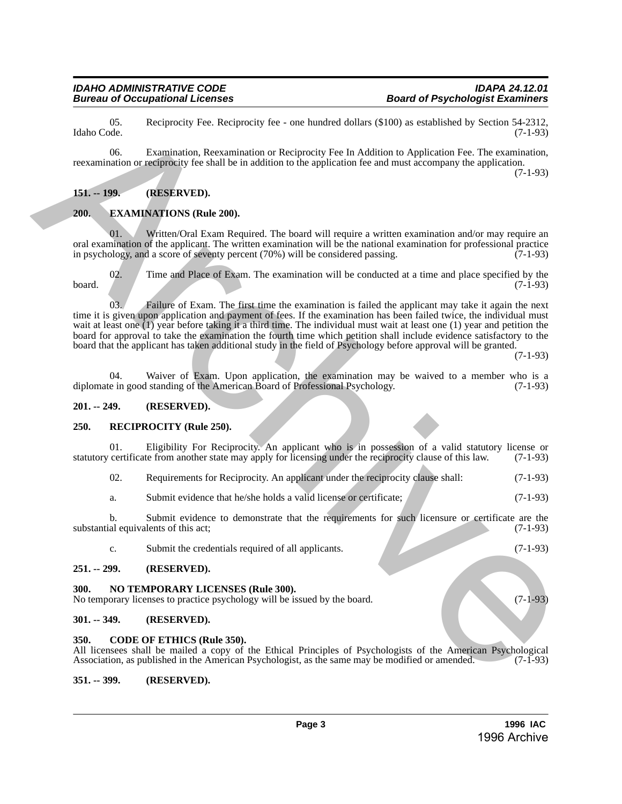#### *IDAHO ADMINISTRATIVE CODE IDAPA 24.12.01* **Bureau of Occupational Licenses**

05. Reciprocity Fee. Reciprocity fee - one hundred dollars (\$100) as established by Section 54-2312, Idaho Code. (7-1-93)

06. Examination, Reexamination or Reciprocity Fee In Addition to Application Fee. The examination, reexamination or reciprocity fee shall be in addition to the application fee and must accompany the application.

(7-1-93)

#### <span id="page-2-0"></span>**151. -- 199. (RESERVED).**

#### <span id="page-2-1"></span>**200. EXAMINATIONS (Rule 200).**

Written/Oral Exam Required. The board will require a written examination and/or may require an oral examination of the applicant. The written examination will be the national examination for professional practice<br>in psychology, and a score of seventy percent (70%) will be considered passing. (7-1-93) in psychology, and a score of seventy percent  $(70%)$  will be considered passing.

02. Time and Place of Exam. The examination will be conducted at a time and place specified by the  $(7-1-93)$ board.  $(7-1-93)$ 

03. Failure of Exam. The first time the examination is failed the applicant may take it again the next time it is given upon application and payment of fees. If the examination has been failed twice, the individual must wait at least one (1) year before taking it a third time. The individual must wait at least one (1) year and petition the board for approval to take the examination the fourth time which petition shall include evidence satisfactory to the board that the applicant has taken additional study in the field of Psychology before approval will be granted. Hence Co.<br>
(a) Resignacity for Resignacity for the huminital delicts (510) as established by Section (3-133)<br>
(b) Co. Examination of completions by Resignation of Resignation Evaluation and Resignation Co. The commutation

(7-1-93)

04. Waiver of Exam. Upon application, the examination may be waived to a member who is a e in good standing of the American Board of Professional Psychology. (7-1-93) diplomate in good standing of the American Board of Professional Psychology.

#### <span id="page-2-2"></span>**201. -- 249. (RESERVED).**

#### <span id="page-2-3"></span>**250. RECIPROCITY (Rule 250).**

Eligibility For Reciprocity. An applicant who is in possession of a valid statutory license or statutory certificate from another state may apply for licensing under the reciprocity clause of this law. (7-1-93)

- 02. Requirements for Reciprocity. An applicant under the reciprocity clause shall: (7-1-93)
- a. Submit evidence that he/she holds a valid license or certificate; (7-1-93)

b. Submit evidence to demonstrate that the requirements for such licensure or certificate are the al equivalents of this act; (7-1-93) substantial equivalents of this act;

c. Submit the credentials required of all applicants. (7-1-93)

#### <span id="page-2-4"></span>**251. -- 299. (RESERVED).**

#### <span id="page-2-5"></span>**300. NO TEMPORARY LICENSES (Rule 300).**

No temporary licenses to practice psychology will be issued by the board. (7-1-93)

#### <span id="page-2-6"></span>**301. -- 349. (RESERVED).**

#### <span id="page-2-7"></span>**350. CODE OF ETHICS (Rule 350).**

All licensees shall be mailed a copy of the Ethical Principles of Psychologists of the American Psychological Association, as published in the American Psychologist, as the same may be modified or amended. (7-1-93)

#### <span id="page-2-8"></span>**351. -- 399. (RESERVED).**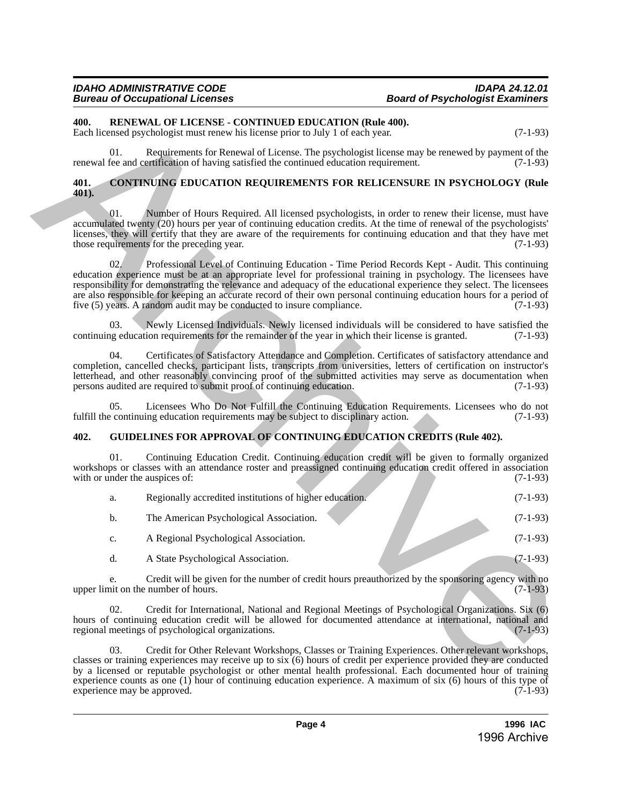## **Board of Psychologist Examiners**

#### <span id="page-3-0"></span>**400. RENEWAL OF LICENSE - CONTINUED EDUCATION (Rule 400).**

#### <span id="page-3-1"></span>**401. CONTINUING EDUCATION REQUIREMENTS FOR RELICENSURE IN PSYCHOLOGY (Rule 401).**

#### <span id="page-3-2"></span>**402. GUIDELINES FOR APPROVAL OF CONTINUING EDUCATION CREDITS (Rule 402).**

| 400.          |     | RENEWAL OF LICENSE - CONTINUED EDUCATION (Rule 400).<br>Each licensed psychologist must renew his license prior to July 1 of each year.                                                                                                                                                                                                                                                                                                                                                                                                     | $(7-1-93)$ |
|---------------|-----|---------------------------------------------------------------------------------------------------------------------------------------------------------------------------------------------------------------------------------------------------------------------------------------------------------------------------------------------------------------------------------------------------------------------------------------------------------------------------------------------------------------------------------------------|------------|
|               | 01. | Requirements for Renewal of License. The psychologist license may be renewed by payment of the<br>renewal fee and certification of having satisfied the continued education requirement.                                                                                                                                                                                                                                                                                                                                                    | $(7-1-93)$ |
| 401.<br>401). |     | <b>CONTINUING EDUCATION REQUIREMENTS FOR RELICENSURE IN PSYCHOLOGY (Rule</b>                                                                                                                                                                                                                                                                                                                                                                                                                                                                |            |
|               | 01. | Number of Hours Required. All licensed psychologists, in order to renew their license, must have<br>accumulated twenty (20) hours per year of continuing education credits. At the time of renewal of the psychologists'<br>licenses, they will certify that they are aware of the requirements for continuing education and that they have met<br>those requirements for the preceding year.                                                                                                                                               | $(7-1-93)$ |
|               | 02. | Professional Level of Continuing Education - Time Period Records Kept - Audit. This continuing<br>education experience must be at an appropriate level for professional training in psychology. The licensees have<br>responsibility for demonstrating the relevance and adequacy of the educational experience they select. The licensees<br>are also responsible for keeping an accurate record of their own personal continuing education hours for a period of<br>five (5) years. A random audit may be conducted to insure compliance. | $(7-1-93)$ |
|               | 03. | Newly Licensed Individuals. Newly licensed individuals will be considered to have satisfied the<br>continuing education requirements for the remainder of the year in which their license is granted.                                                                                                                                                                                                                                                                                                                                       | $(7-1-93)$ |
|               | 04. | Certificates of Satisfactory Attendance and Completion. Certificates of satisfactory attendance and<br>completion, cancelled checks, participant lists, transcripts from universities, letters of certification on instructor's<br>letterhead, and other reasonably convincing proof of the submitted activities may serve as documentation when<br>persons audited are required to submit proof of continuing education.                                                                                                                   | $(7-1-93)$ |
|               | 05. | Licensees Who Do Not Fulfill the Continuing Education Requirements. Licensees who do not<br>fulfill the continuing education requirements may be subject to disciplinary action.                                                                                                                                                                                                                                                                                                                                                            | $(7-1-93)$ |
| 402.          |     | <b>GUIDELINES FOR APPROVAL OF CONTINUING EDUCATION CREDITS (Rule 402).</b>                                                                                                                                                                                                                                                                                                                                                                                                                                                                  |            |
|               | 01. | Continuing Education Credit. Continuing education credit will be given to formally organized<br>workshops or classes with an attendance roster and preassigned continuing education credit offered in association<br>with or under the auspices of:                                                                                                                                                                                                                                                                                         | $(7-1-93)$ |
|               | a.  | Regionally accredited institutions of higher education.                                                                                                                                                                                                                                                                                                                                                                                                                                                                                     | $(7-1-93)$ |
|               | b.  | The American Psychological Association.                                                                                                                                                                                                                                                                                                                                                                                                                                                                                                     | $(7-1-93)$ |
|               | c.  | A Regional Psychological Association.                                                                                                                                                                                                                                                                                                                                                                                                                                                                                                       | $(7-1-93)$ |
|               | d.  | A State Psychological Association.                                                                                                                                                                                                                                                                                                                                                                                                                                                                                                          | $(7-1-93)$ |
|               | e.  | Credit will be given for the number of credit hours preauthorized by the sponsoring agency with no<br>upper limit on the number of hours.                                                                                                                                                                                                                                                                                                                                                                                                   | $(7-1-93)$ |
|               | 02. | Credit for International, National and Regional Meetings of Psychological Organizations. Six (6)<br>hours of continuing education credit will be allowed for documented attendance at international, national and<br>regional meetings of psychological organizations.                                                                                                                                                                                                                                                                      | $(7-1-93)$ |
|               | 03. | Credit for Other Relevant Workshops, Classes or Training Experiences. Other relevant workshops,<br>classes or training experiences may receive up to six (6) hours of credit per experience provided they are conducted<br>by a licensed or reputable psychologist or other mental health professional. Each documented hour of training                                                                                                                                                                                                    |            |

03. Credit for Other Relevant Workshops, Classes or Training Experiences. Other relevant workshops, classes or training experiences may receive up to six (6) hours of credit per experience provided they are conducted by a licensed or reputable psychologist or other mental health professional. Each documented hour of training experience counts as one (1) hour of continuing education experience. A maximum of six (6) hours of this type of experience may be approved.  $(7-1-93)$ experience may be approved.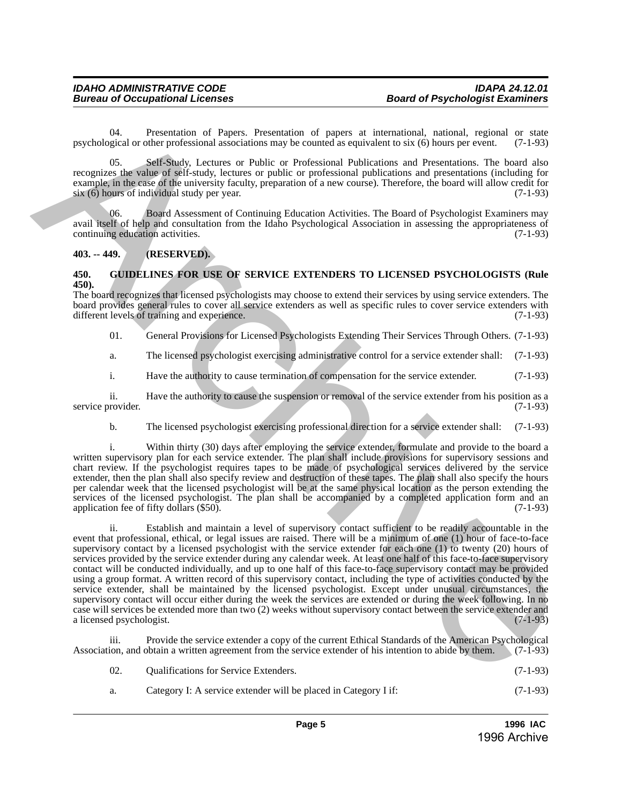04. Presentation of Papers. Presentation of papers at international, national, regional or state original or state parallel or other professional associations may be counted as equivalent to six  $(6)$  hours per event.  $(7$ psychological or other professional associations may be counted as equivalent to six (6) hours per event.

05. Self-Study, Lectures or Public or Professional Publications and Presentations. The board also recognizes the value of self-study, lectures or public or professional publications and presentations (including for example, in the case of the university faculty, preparation of a new course). Therefore, the board will allow credit for six (6) hours of individual study per year. (7-1-93)

06. Board Assessment of Continuing Education Activities. The Board of Psychologist Examiners may avail itself of help and consultation from the Idaho Psychological Association in assessing the appropriateness of continuing education activities. (7-1-93) continuing education activities.

#### <span id="page-4-0"></span>**403. -- 449. (RESERVED).**

#### <span id="page-4-1"></span>**450. GUIDELINES FOR USE OF SERVICE EXTENDERS TO LICENSED PSYCHOLOGISTS (Rule 450).**

The board recognizes that licensed psychologists may choose to extend their services by using service extenders. The board provides general rules to cover all service extenders as well as specific rules to cover service extenders with different levels of training and experience. (7-1-93)

01. General Provisions for Licensed Psychologists Extending Their Services Through Others. (7-1-93)

a. The licensed psychologist exercising administrative control for a service extender shall: (7-1-93)

i. Have the authority to cause termination of compensation for the service extender. (7-1-93)

ii. Have the authority to cause the suspension or removal of the service extender from his position as a provider. (7-1-93) service provider.

b. The licensed psychologist exercising professional direction for a service extender shall: (7-1-93)

i. Within thirty (30) days after employing the service extender, formulate and provide to the board a written supervisory plan for each service extender. The plan shall include provisions for supervisory sessions and chart review. If the psychologist requires tapes to be made of psychological services delivered by the service extender, then the plan shall also specify review and destruction of these tapes. The plan shall also specify the hours per calendar week that the licensed psychologist will be at the same physical location as the person extending the services of the licensed psychologist. The plan shall be accompanied by a completed application form and an application fee of fifty dollars (\$50). (7-1-93)

ii. Establish and maintain a level of supervisory contact sufficient to be readily accountable in the event that professional, ethical, or legal issues are raised. There will be a minimum of one (1) hour of face-to-face supervisory contact by a licensed psychologist with the service extender for each one (1) to twenty (20) hours of services provided by the service extender during any calendar week. At least one half of this face-to-face supervisory contact will be conducted individually, and up to one half of this face-to-face supervisory contact may be provided using a group format. A written record of this supervisory contact, including the type of activities conducted by the service extender, shall be maintained by the licensed psychologist. Except under unusual circumstances, the supervisory contact will occur either during the week the services are extended or during the week following. In no case will services be extended more than two (2) weeks without supervisory contact between the service extender and a licensed psychologist. psychological responses of Papera Procedular of papera at international regional regions of any methods of the control in the control of Nicolas procedure in the control of Nicolas proposition in the control of the contro

Provide the service extender a copy of the current Ethical Standards of the American Psychological Association, and obtain a written agreement from the service extender of his intention to abide by them. (7-1-93)

| 02. | <b>Qualifications for Service Extenders.</b> |  |  |  |  |
|-----|----------------------------------------------|--|--|--|--|
|     |                                              |  |  |  |  |

a. Category I: A service extender will be placed in Category I if: (7-1-93)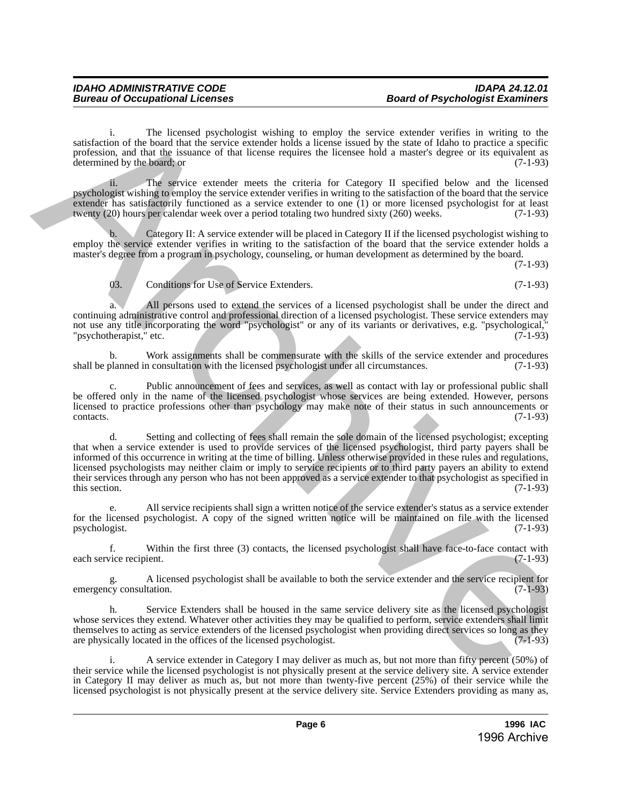i. The licensed psychologist wishing to employ the service extender verifies in writing to the satisfaction of the board that the service extender holds a license issued by the state of Idaho to practice a specific profession, and that the issuance of that license requires the licensee hold a master's degree or its equivalent as determined by the board; or  $(7-1-93)$ 

ii. The service extender meets the criteria for Category II specified below and the licensed psychologist wishing to employ the service extender verifies in writing to the satisfaction of the board that the service extender has satisfactorily functioned as a service extender to one (1) or more licensed psychologist for at least twenty (20) hours per calendar week over a period totaling two hundred sixty (260) weeks. (7-1-93)

Category II: A service extender will be placed in Category II if the licensed psychologist wishing to employ the service extender verifies in writing to the satisfaction of the board that the service extender holds a master's degree from a program in psychology, counseling, or human development as determined by the board.

(7-1-93)

03. Conditions for Use of Service Extenders. (7-1-93)

All persons used to extend the services of a licensed psychologist shall be under the direct and continuing administrative control and professional direction of a licensed psychologist. These service extenders may not use any title incorporating the word "psychologist" or any of its variants or derivatives, e.g. "psychological,"<br>"psychotherapist," etc. (7-1-93) "psychotherapist," etc.

b. Work assignments shall be commensurate with the skills of the service extender and procedures shall be planned in consultation with the licensed psychologist under all circumstances. (7-1-93)

c. Public announcement of fees and services, as well as contact with lay or professional public shall be offered only in the name of the licensed psychologist whose services are being extended. However, persons licensed to practice professions other than psychology may make note of their status in such announcements or contacts. (7-1-93) contacts. (7-1-93)

d. Setting and collecting of fees shall remain the sole domain of the licensed psychologist; excepting that when a service extender is used to provide services of the licensed psychologist, third party payers shall be informed of this occurrence in writing at the time of billing. Unless otherwise provided in these rules and regulations, licensed psychologists may neither claim or imply to service recipients or to third party payers an ability to extend their services through any person who has not been approved as a service extender to that psychologist as specified in this section. (7-1-93) this section.  $(7-1-93)$ variation of the basic appeleabode studies to employ the service consider a military and the military of the same of the license regular discussions and the same of the same of the license regular discussions and in the s

e. All service recipients shall sign a written notice of the service extender's status as a service extender for the licensed psychologist. A copy of the signed written notice will be maintained on file with the licensed psychologist.  $(7-1-93)$ psychologist.

f. Within the first three (3) contacts, the licensed psychologist shall have face-to-face contact with each service recipient.

A licensed psychologist shall be available to both the service extender and the service recipient for  $(7-1-93)$ emergency consultation.

h. Service Extenders shall be housed in the same service delivery site as the licensed psychologist whose services they extend. Whatever other activities they may be qualified to perform, service extenders shall limit themselves to acting as service extenders of the licensed psychologist when providing direct services so long as they are physically located in the offices of the licensed psychologist. (7-1-93)

i. A service extender in Category I may deliver as much as, but not more than fifty percent (50%) of their service while the licensed psychologist is not physically present at the service delivery site. A service extender in Category II may deliver as much as, but not more than twenty-five percent (25%) of their service while the licensed psychologist is not physically present at the service delivery site. Service Extenders providing as many as,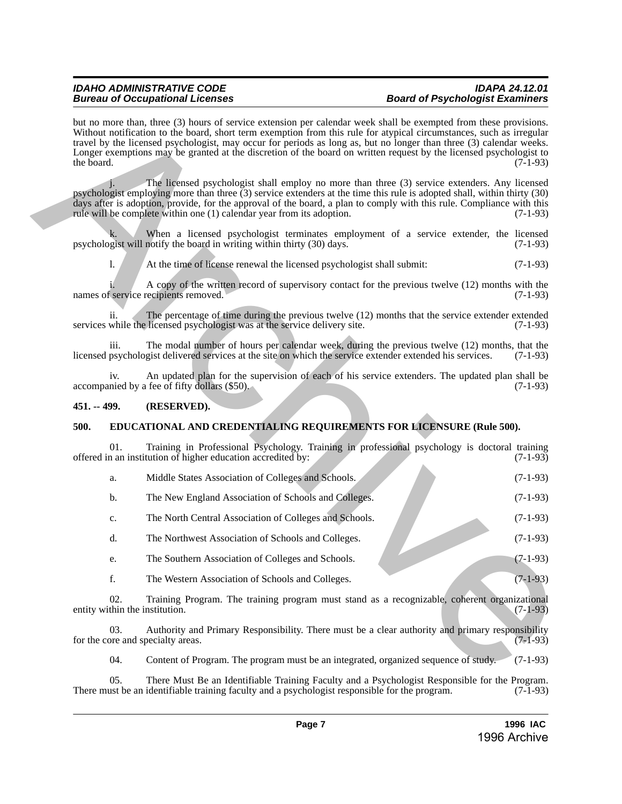#### *IDAHO ADMINISTRATIVE CODE IDAPA 24.12.01* **Board of Psychologist Examiners**

but no more than, three (3) hours of service extension per calendar week shall be exempted from these provisions. Without notification to the board, short term exemption from this rule for atypical circumstances, such as irregular travel by the licensed psychologist, may occur for periods as long as, but no longer than three (3) calendar weeks. Longer exemptions may be granted at the discretion of the board on written request by the licensed psychologist to the board. (7-1-93) the board.  $(7-1-93)$ In an enter both three (i) bare of evolving the particular seat dual be exampled from these provisions.<br>
Whose reducation to the both show term computes from this risk for any disc determines with a line projected<br>
Logic

The licensed psychologist shall employ no more than three (3) service extenders. Any licensed psychologist employing more than three (3) service extenders at the time this rule is adopted shall, within thirty (30) days after is adoption, provide, for the approval of the board, a plan to comply with this rule. Compliance with this rule will be complete within one (1) calendar year from its adoption. (7-1-93)

k. When a licensed psychologist terminates employment of a service extender, the licensed gist will notify the board in writing within thirty (30) days.  $(7-1-93)$ psychologist will notify the board in writing within thirty (30) days.

l. At the time of license renewal the licensed psychologist shall submit: (7-1-93)

A copy of the written record of supervisory contact for the previous twelve (12) months with the recipients removed. (7-1-93) names of service recipients removed.

ii. The percentage of time during the previous twelve (12) months that the service extender extended services while the licensed psychologist was at the service delivery site. (7-1-93)

iii. The modal number of hours per calendar week, during the previous twelve  $(12)$  months, that the psychologist delivered services at the site on which the service extender extended his services.  $(7-1-93)$ licensed psychologist delivered services at the site on which the service extender extended his services.

iv. An updated plan for the supervision of each of his service extenders. The updated plan shall be nied by a fee of fifty dollars (\$50). accompanied by a fee of fifty dollars  $(\$50)$ .

#### <span id="page-6-0"></span>**451. -- 499. (RESERVED).**

### <span id="page-6-1"></span>**500. EDUCATIONAL AND CREDENTIALING REQUIREMENTS FOR LICENSURE (Rule 500).**

01. Training in Professional Psychology. Training in professional psychology is doctoral training offered in an institution of higher education accredited by: (7-1-93)

| a.             | Middle States Association of Colleges and Schools.     | $(7-1-93)$ |
|----------------|--------------------------------------------------------|------------|
| b.             | The New England Association of Schools and Colleges.   | $(7-1-93)$ |
| $\mathbf{c}$ . | The North Central Association of Colleges and Schools. | $(7-1-93)$ |

- d. The Northwest Association of Schools and Colleges. (7-1-93)
- e. The Southern Association of Colleges and Schools. (7-1-93)
- f. The Western Association of Schools and Colleges. (7-1-93)

02. Training Program. The training program must stand as a recognizable, coherent organizational entity within the institution. (7-1-93)

03. Authority and Primary Responsibility. There must be a clear authority and primary responsibility for the core and specialty areas. (7-1-93)

04. Content of Program. The program must be an integrated, organized sequence of study. (7-1-93)

05. There Must Be an Identifiable Training Faculty and a Psychologist Responsible for the Program. (7-1-93) ust be an identifiable training faculty and a psychologist responsible for the program. (7-1-93) There must be an identifiable training faculty and a psychologist responsible for the program.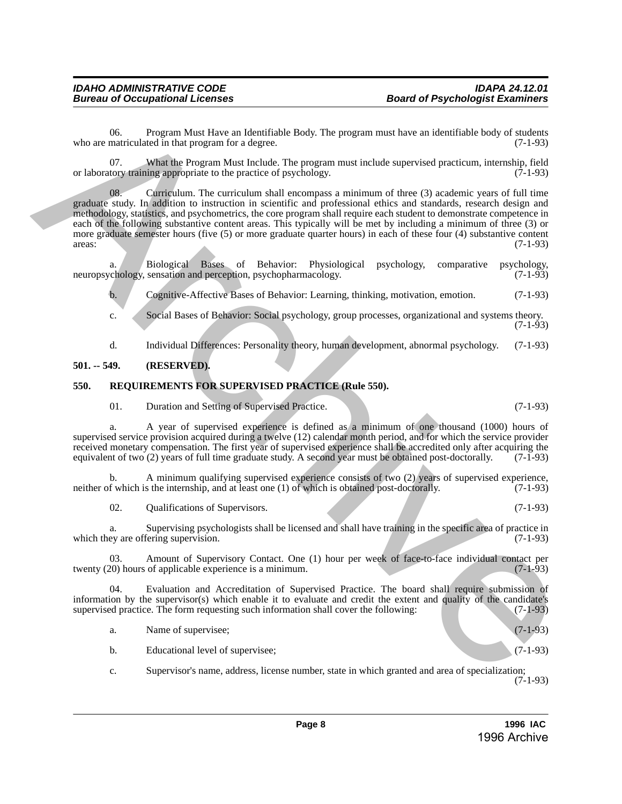06. Program Must Have an Identifiable Body. The program must have an identifiable body of students matriculated in that program for a degree. who are matriculated in that program for a degree.

07. What the Program Must Include. The program must include supervised practicum, internship, field tory training appropriate to the practice of psychology. (7-1-93) or laboratory training appropriate to the practice of psychology.

08. Curriculum. The curriculum shall encompass a minimum of three (3) academic years of full time graduate study. In addition to instruction in scientific and professional ethics and standards, research design and methodology, statistics, and psychometrics, the core program shall require each student to demonstrate competence in each of the following substantive content areas. This typically will be met by including a minimum of three (3) or more graduate semester hours (five (5) or more graduate quarter hours) in each of these four (4) substantive content areas: (7-1-93)  $\alpha$  areas:  $(7-1-93)$ s who are the simulated by the propriate first performance in the simulation between the simulation of  $(7,145)$ <br>
or the simulation in the simulation of the simulation of the simulation of the simulation of the simulation

a. Biological Bases of Behavior: Physiological psychology, comparative psychology, chology, sensation and perception, psychopharmacology. (7-1-93) neuropsychology, sensation and perception, psychopharmacology.

b. Cognitive-Affective Bases of Behavior: Learning, thinking, motivation, emotion. (7-1-93)

c. Social Bases of Behavior: Social psychology, group processes, organizational and systems theory. (7-1-93)

d. Individual Differences: Personality theory, human development, abnormal psychology. (7-1-93)

#### <span id="page-7-0"></span>**501. -- 549. (RESERVED).**

#### <span id="page-7-1"></span>**550. REQUIREMENTS FOR SUPERVISED PRACTICE (Rule 550).**

01. Duration and Setting of Supervised Practice. (7-1-93)

a. A year of supervised experience is defined as a minimum of one thousand (1000) hours of supervised service provision acquired during a twelve (12) calendar month period, and for which the service provider received monetary compensation. The first year of supervised experience shall be accredited only after acquiring the equivalent of two (2) years of full time graduate study. A second year must be obtained post-doctorally. (7-1-93)

b. A minimum qualifying supervised experience consists of two (2) years of supervised experience, neither of which is the internship, and at least one (1) of which is obtained post-doctorally. (7-1-93)

02. Qualifications of Supervisors. (7-1-93)

a. Supervising psychologists shall be licensed and shall have training in the specific area of practice in which they are offering supervision. (7-1-93)

03. Amount of Supervisory Contact. One (1) hour per week of face-to-face individual contact per 20) hours of applicable experience is a minimum. (7-1-93) twenty (20) hours of applicable experience is a minimum.

04. Evaluation and Accreditation of Supervised Practice. The board shall require submission of information by the supervisor(s) which enable it to evaluate and credit the extent and quality of the candidate's supervised practice. The form requesting such information shall cover the following: (7-1-93)

a. Name of supervisee; (7-1-93)

b. Educational level of supervisee; (7-1-93)

c. Supervisor's name, address, license number, state in which granted and area of specialization;  $(7-1-93)$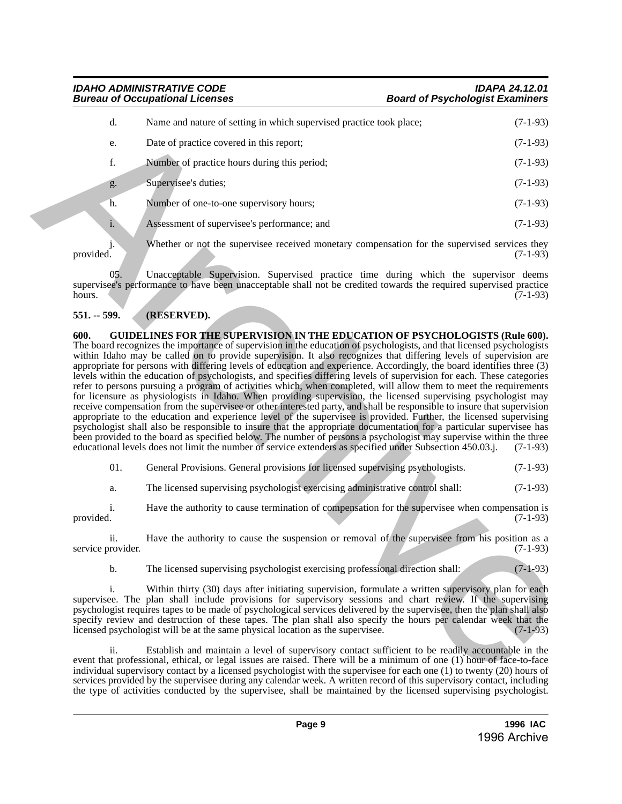*IDAHO ADMINISTRATIVE CODE IDAPA 24.12.01* **Board of Psychologist Examiners** 

### d. Name and nature of setting in which supervised practice took place; (7-1-93) e. Date of practice covered in this report; (7-1-93) f. Number of practice hours during this period; (7-1-93) g. Supervisee's duties; (7-1-93) h. Number of one-to-one supervisory hours; (7-1-93) i. Assessment of supervisee's performance; and (7-1-93)

j. Whether or not the supervisee received monetary compensation for the supervised services they provided. (7-1-93) provided.  $(7-1-93)$ 

05. Unacceptable Supervision. Supervised practice time during which the supervisor deems supervisee's performance to have been unacceptable shall not be credited towards the required supervised practice<br>(7-1-93) hours. (7-1-93)

#### <span id="page-8-1"></span><span id="page-8-0"></span>**551. -- 599. (RESERVED).**

**600. GUIDELINES FOR THE SUPERVISION IN THE EDUCATION OF PSYCHOLOGISTS (Rule 600).** The board recognizes the importance of supervision in the education of psychologists, and that licensed psychologists within Idaho may be called on to provide supervision. It also recognizes that differing levels of supervision are appropriate for persons with differing levels of education and experience. Accordingly, the board identifies three (3) levels within the education of psychologists, and specifies differing levels of supervision for each. These categories refer to persons pursuing a program of activities which, when completed, will allow them to meet the requirements for licensure as physiologists in Idaho. When providing supervision, the licensed supervising psychologist may receive compensation from the supervisee or other interested party, and shall be responsible to insure that supervision appropriate to the education and experience level of the supervisee is provided. Further, the licensed supervising psychologist shall also be responsible to insure that the appropriate documentation for a particular supervisee has been provided to the board as specified below. The number of persons a psychologist may supervise within the three educational levels does not limit the number of service extenders as specified under Subsection 450.03.j. (7-1-93) 4. Nearest and harter of series and particular previous phase. (7.1.93)<br>
Lease calculate vectors and has report of the series of the series of the series of the series of the series of the series of the series of the ser

01. General Provisions. General provisions for licensed supervising psychologists. (7-1-93)

a. The licensed supervising psychologist exercising administrative control shall: (7-1-93)

i. Have the authority to cause termination of compensation for the supervisee when compensation is provided.  $(7-1-93)$ 

ii. Have the authority to cause the suspension or removal of the supervisee from his position as a service provider. (7-1-93)

b. The licensed supervising psychologist exercising professional direction shall: (7-1-93)

i. Within thirty (30) days after initiating supervision, formulate a written supervisory plan for each supervisee. The plan shall include provisions for supervisory sessions and chart review. If the supervising psychologist requires tapes to be made of psychological services delivered by the supervisee, then the plan shall also specify review and destruction of these tapes. The plan shall also specify the hours per calendar week that the licensed psychologist will be at the same physical location as the supervisee.  $(7-1-93)$ licensed psychologist will be at the same physical location as the supervisee.

ii. Establish and maintain a level of supervisory contact sufficient to be readily accountable in the event that professional, ethical, or legal issues are raised. There will be a minimum of one (1) hour of face-to-face individual supervisory contact by a licensed psychologist with the supervisee for each one (1) to twenty (20) hours of services provided by the supervisee during any calendar week. A written record of this supervisory contact, including the type of activities conducted by the supervisee, shall be maintained by the licensed supervising psychologist.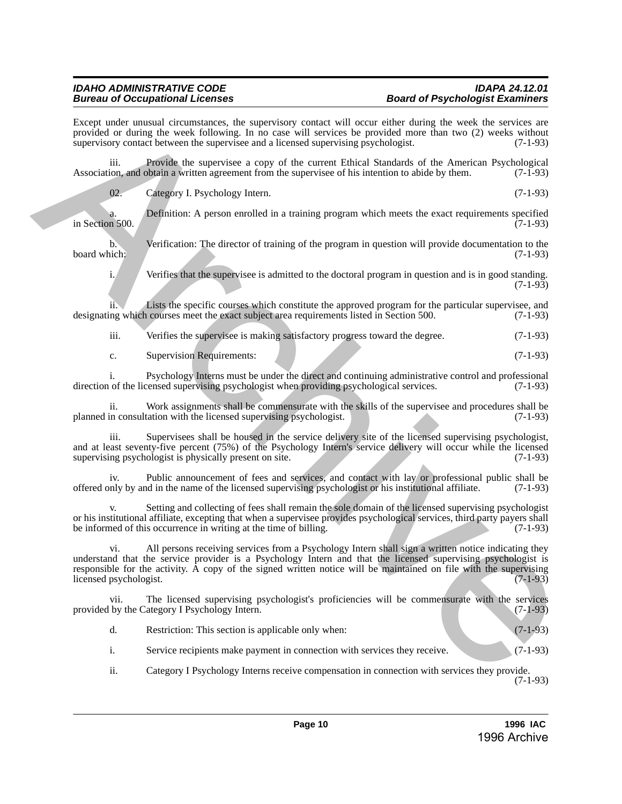Except under unusual circumstances, the supervisory contact will occur either during the week the services are provided or during the week following. In no case will services be provided more than two (2) weeks without supervisory contact between the supervise and a licensed supervising psychologist. (7-1-93) supervisory contact between the supervisee and a licensed supervising psychologist.

iii. Provide the supervisee a copy of the current Ethical Standards of the American Psychological ion, and obtain a written agreement from the supervisee of his intention to abide by them. (7-1-93) Association, and obtain a written agreement from the supervisee of his intention to abide by them.

02. Category I. Psychology Intern. (7-1-93)

Definition: A person enrolled in a training program which meets the exact requirements specified (7-1-93) in Section 500.

b. Verification: The director of training of the program in question will provide documentation to the board which: (7-1-93) board which: (7-1-93)

i. Verifies that the supervisee is admitted to the doctoral program in question and is in good standing.  $(7-1-93)$ 

ii. Lists the specific courses which constitute the approved program for the particular supervisee, and ng which courses meet the exact subject area requirements listed in Section 500.  $(7-1-93)$ designating which courses meet the exact subject area requirements listed in Section 500.

iii. Verifies the supervisee is making satisfactory progress toward the degree. (7-1-93)

c. Supervision Requirements: (7-1-93)

i. Psychology Interns must be under the direct and continuing administrative control and professional of the licensed supervising psychologist when providing psychological services. (7-1-93) direction of the licensed supervising psychologist when providing psychological services.

ii. Work assignments shall be commensurate with the skills of the supervisee and procedures shall be in consultation with the licensed supervising psychologist. (7-1-93) planned in consultation with the licensed supervising psychologist.

iii. Supervisees shall be housed in the service delivery site of the licensed supervising psychologist, and at least seventy-five percent (75%) of the Psychology Intern's service delivery will occur while the licensed supervising psychologist is physically present on site. (7-1-93)

iv. Public announcement of fees and services, and contact with lay or professional public shall be offered only by and in the name of the licensed supervising psychologist or his institutional affiliate. (7-1-93)

Setting and collecting of fees shall remain the sole domain of the licensed supervising psychologist or his institutional affiliate, excepting that when a supervisee provides psychological services, third party payers shall be informed of this occurrence in writing at the time of billing.

All persons receiving services from a Psychology Intern shall sign a written notice indicating they understand that the service provider is a Psychology Intern and that the licensed supervising psychologist is responsible for the activity. A copy of the signed written notice will be maintained on file with the supervising<br>(7-1-93) licensed psychologist. From material methods of the bent is a method and with contribution of the method and the bent is a method with the stress of the bent in the stress of the stress of the stress of the stress of the stress of the stress o

The licensed supervising psychologist's proficiencies will be commensurate with the services provided by the Category I Psychology Intern. (7-1-93)

| Restriction: This section is applicable only when: |  | $(7-1-93)$ |
|----------------------------------------------------|--|------------|
|----------------------------------------------------|--|------------|

i. Service recipients make payment in connection with services they receive. (7-1-93)

ii. Category I Psychology Interns receive compensation in connection with services they provide. (7-1-93)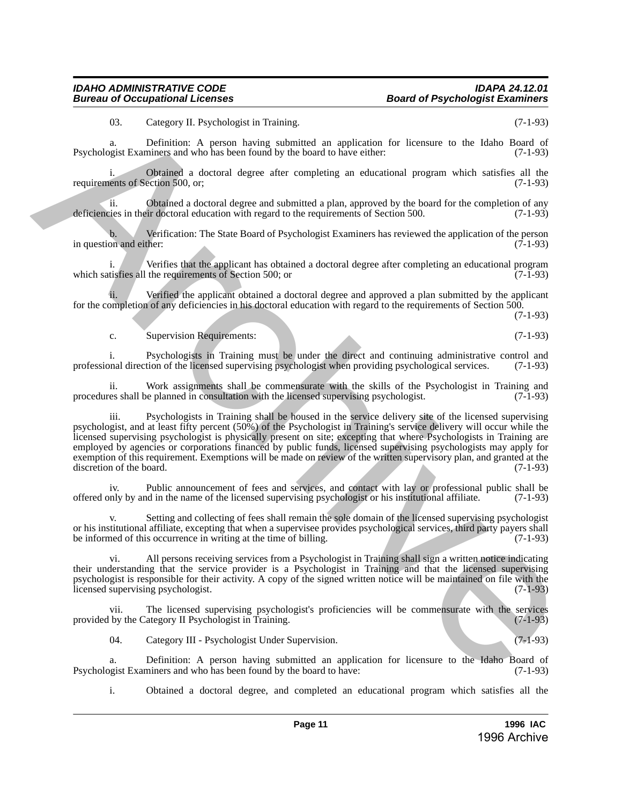03. Category II. Psychologist in Training. (7-1-93)

a. Definition: A person having submitted an application for licensure to the Idaho Board of Psychologist Examiners and who has been found by the board to have either: (7-1-93)

Obtained a doctoral degree after completing an educational program which satisfies all the ection  $500$ , or,  $(7-1-93)$ requirements of Section 500, or;

ii. Obtained a doctoral degree and submitted a plan, approved by the board for the completion of any deficiencies in their doctoral education with regard to the requirements of Section 500. (7-1-93)

b. Verification: The State Board of Psychologist Examiners has reviewed the application of the person on and either: (7-1-93) in question and either:

i. Verifies that the applicant has obtained a doctoral degree after completing an educational program tisfies all the requirements of Section 500; or which satisfies all the requirements of Section 500; or

Verified the applicant obtained a doctoral degree and approved a plan submitted by the applicant for the completion of any deficiencies in his doctoral education with regard to the requirements of Section 500.

(7-1-93)

#### c. Supervision Requirements: (7-1-93)

i. Psychologists in Training must be under the direct and continuing administrative control and professional direction of the licensed supervising psychologist when providing psychological services. (7-1-93)

ii. Work assignments shall be commensurate with the skills of the Psychologist in Training and res shall be planned in consultation with the licensed supervising psychologist. (7-1-93) procedures shall be planned in consultation with the licensed supervising psychologist.

iii. Psychologists in Training shall be housed in the service delivery site of the licensed supervising psychologist, and at least fifty percent (50%) of the Psychologist in Training's service delivery will occur while the licensed supervising psychologist is physically present on site; excepting that where Psychologists in Training are employed by agencies or corporations financed by public funds, licensed supervising psychologists may apply for exemption of this requirement. Exemptions will be made on review of the written supervisory plan, and granted at the discretion of the board. (7-1-93) discretion of the board. (1). Calegregi II. Nepthabeth in Thermatic and the matricial an application for increase to the Islam Beach of Reynological Section (7).145)<br>
Psychological Examines and who has been found to fore both in the section (1) a

iv. Public announcement of fees and services, and contact with lay or professional public shall be only by and in the name of the licensed supervising psychologist or his institutional affiliate. (7-1-93) offered only by and in the name of the licensed supervising psychologist or his institutional affiliate. (7-1-93)

Setting and collecting of fees shall remain the sole domain of the licensed supervising psychologist or his institutional affiliate, excepting that when a supervisee provides psychological services, third party payers shall<br>be informed of this occurrence in writing at the time of billing. be informed of this occurrence in writing at the time of billing.

vi. All persons receiving services from a Psychologist in Training shall sign a written notice indicating their understanding that the service provider is a Psychologist in Training and that the licensed supervising psychologist is responsible for their activity. A copy of the signed written notice will be maintained on file with the licensed supervising psychologist. (7-1-93) licensed supervising psychologist.

vii. The licensed supervising psychologist's proficiencies will be commensurate with the services by the Category II Psychologist in Training. (7-1-93) provided by the Category II Psychologist in Training.

04. Category III - Psychologist Under Supervision. (7-1-93)

a. Definition: A person having submitted an application for licensure to the Idaho Board of operation by the board to have: (7-1-93) Psychologist Examiners and who has been found by the board to have:

i. Obtained a doctoral degree, and completed an educational program which satisfies all the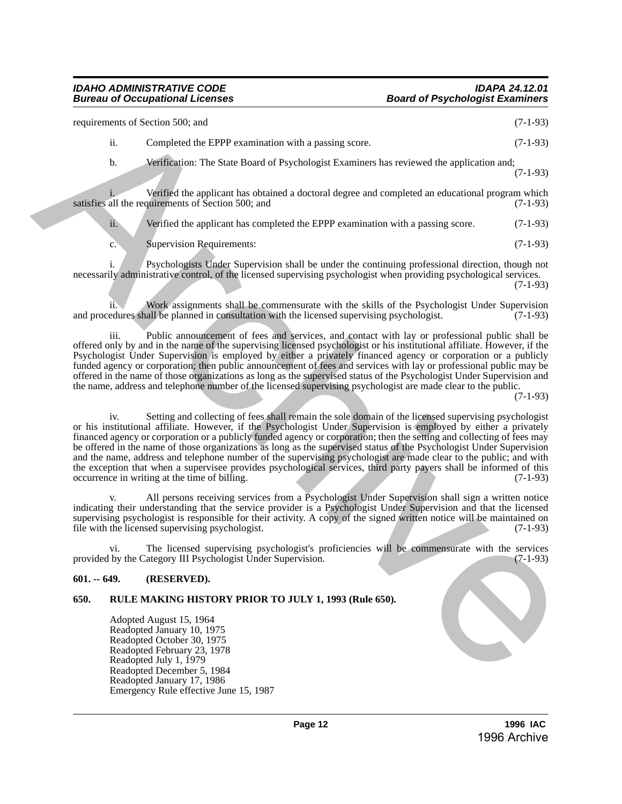### *Bureau of Occupational Licenses*

requirements of Section 500; and (7-1-93) ii. Completed the EPPP examination with a passing score. (7-1-93) b. Verification: The State Board of Psychologist Examiners has reviewed the application and; (7-1-93) Verified the applicant has obtained a doctoral degree and completed an educational program which<br>quirements of Section 500; and (7-1-93) satisfies all the requirements of Section 500; and ii. Verified the applicant has completed the EPPP examination with a passing score. (7-1-93) c. Supervision Requirements: (7-1-93) i. Psychologists Under Supervision shall be under the continuing professional direction, though not requirements of Section 800; and the EPPP examination with a possing score.<br>  $\ddot{A} = 0.444$ <br>  $\ddot{A} = 0.444$ <br>  $\ddot{A} = 0.444$ <br>  $\ddot{A} = 0.444$ <br>  $\ddot{A} = 0.444$ <br>  $\ddot{A} = 0.444$ <br>  $\ddot{A} = 0.444$ <br>  $\ddot{A} = 0.444$ <br>  $\ddot{A} =$ 

necessarily administrative control, of the licensed supervising psychologist when providing psychological services. (7-1-93)

ii. Work assignments shall be commensurate with the skills of the Psychologist Under Supervision edures shall be planned in consultation with the licensed supervising psychologist. (7-1-93) and procedures shall be planned in consultation with the licensed supervising psychologist.

iii. Public announcement of fees and services, and contact with lay or professional public shall be offered only by and in the name of the supervising licensed psychologist or his institutional affiliate. However, if the Psychologist Under Supervision is employed by either a privately financed agency or corporation or a publicly funded agency or corporation; then public announcement of fees and services with lay or professional public may be offered in the name of those organizations as long as the supervised status of the Psychologist Under Supervision and the name, address and telephone number of the licensed supervising psychologist are made clear to the public.

 $(7-1-93)$ 

iv. Setting and collecting of fees shall remain the sole domain of the licensed supervising psychologist or his institutional affiliate. However, if the Psychologist Under Supervision is employed by either a privately financed agency or corporation or a publicly funded agency or corporation; then the setting and collecting of fees may be offered in the name of those organizations as long as the supervised status of the Psychologist Under Supervision and the name, address and telephone number of the supervising psychologist are made clear to the public; and with the exception that when a supervisee provides psychological services, third party payers shall be informed of this occurrence in writing at the time of billing. (7-1-93) occurrence in writing at the time of billing.

All persons receiving services from a Psychologist Under Supervision shall sign a written notice indicating their understanding that the service provider is a Psychologist Under Supervision and that the licensed supervising psychologist is responsible for their activity. A copy of the signed written notice will be maintained on file with the licensed supervising psychologist.  $(7-1-93)$ file with the licensed supervising psychologist.

vi. The licensed supervising psychologist's proficiencies will be commensurate with the services by the Category III Psychologist Under Supervision. (7-1-93) provided by the Category III Psychologist Under Supervision.

#### <span id="page-11-0"></span>**601. -- 649. (RESERVED).**

#### <span id="page-11-1"></span>**650. RULE MAKING HISTORY PRIOR TO JULY 1, 1993 (Rule 650).**

Adopted August 15, 1964 Readopted January 10, 1975 Readopted October 30, 1975 Readopted February 23, 1978 Readopted July 1, 1979 Readopted December 5, 1984 Readopted January 17, 1986 Emergency Rule effective June 15, 1987